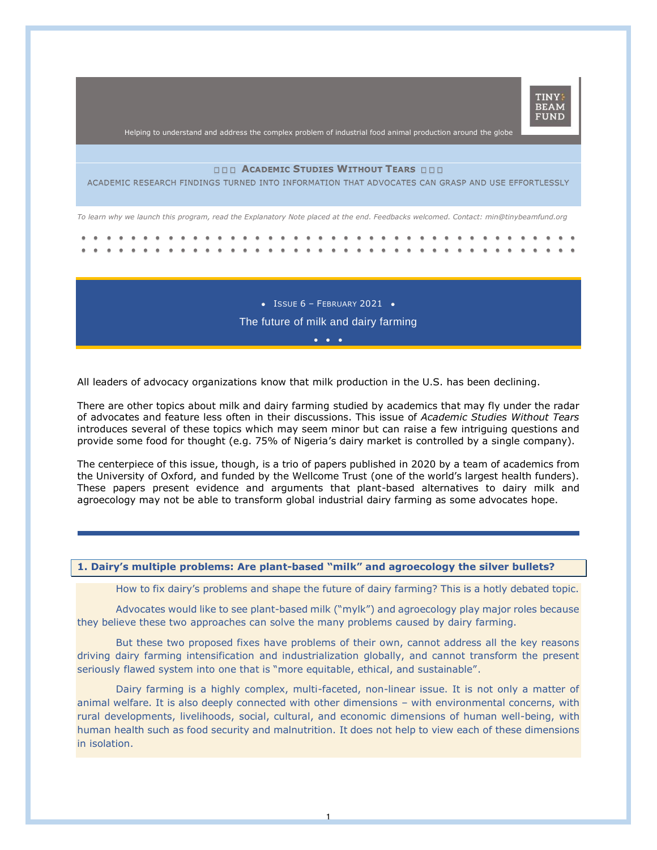

Helping to understand and address the complex problem of industrial food animal production around the globe

# **ACADEMIC STUDIES WITHOUT TEARS**

ACADEMIC RESEARCH FINDINGS TURNED INTO INFORMATION THAT ADVOCATES CAN GRASP AND USE EFFORTLESSLY

*To learn why we launch this program, read the Explanatory Note placed at the end. Feedbacks welcomed. Contact: min@tinybeamfund.org* 

 $\bullet$  ISSUE 6 - FEBRUARY 2021  $\bullet$ The future of milk and dairy farming

•••

All leaders of advocacy organizations know that milk production in the U.S. has been declining.

There are other topics about milk and dairy farming studied by academics that may fly under the radar of advocates and feature less often in their discussions. This issue of *Academic Studies Without Tears* introduces several of these topics which may seem minor but can raise a few intriguing questions and provide some food for thought (e.g. 75% of Nigeria's dairy market is controlled by a single company).

The centerpiece of this issue, though, is a trio of papers published in 2020 by a team of academics from the University of Oxford, and funded by the Wellcome Trust (one of the world's largest health funders). These papers present evidence and arguments that plant-based alternatives to dairy milk and agroecology may not be able to transform global industrial dairy farming as some advocates hope.

# **1. Dairy's multiple problems: Are plant-based "milk" and agroecology the silver bullets?**

How to fix dairy's problems and shape the future of dairy farming? This is a hotly debated topic.

Advocates would like to see plant-based milk ("mylk") and agroecology play major roles because they believe these two approaches can solve the many problems caused by dairy farming.

But these two proposed fixes have problems of their own, cannot address all the key reasons driving dairy farming intensification and industrialization globally, and cannot transform the present seriously flawed system into one that is "more equitable, ethical, and sustainable".

Dairy farming is a highly complex, multi-faceted, non-linear issue. It is not only a matter of animal welfare. It is also deeply connected with other dimensions – with environmental concerns, with rural developments, livelihoods, social, cultural, and economic dimensions of human well-being, with human health such as food security and malnutrition. It does not help to view each of these dimensions in isolation.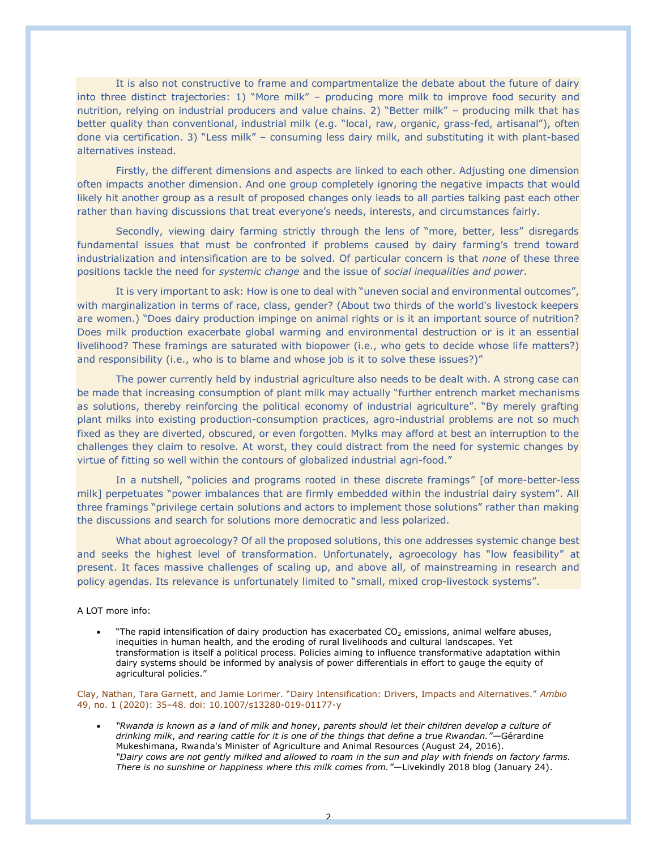It is also not constructive to frame and compartmentalize the debate about the future of dairy into three distinct trajectories: 1) "More milk" – producing more milk to improve food security and nutrition, relying on industrial producers and value chains. 2) "Better milk" – producing milk that has better quality than conventional, industrial milk (e.g. "local, raw, organic, grass-fed, artisanal"), often done via certification. 3) "Less milk" – consuming less dairy milk, and substituting it with plant-based alternatives instead.

Firstly, the different dimensions and aspects are linked to each other. Adjusting one dimension often impacts another dimension. And one group completely ignoring the negative impacts that would likely hit another group as a result of proposed changes only leads to all parties talking past each other rather than having discussions that treat everyone's needs, interests, and circumstances fairly.

Secondly, viewing dairy farming strictly through the lens of "more, better, less" disregards fundamental issues that must be confronted if problems caused by dairy farming's trend toward industrialization and intensification are to be solved. Of particular concern is that *none* of these three positions tackle the need for *systemic change* and the issue of *social inequalities and power*.

It is very important to ask: How is one to deal with "uneven social and environmental outcomes", with marginalization in terms of race, class, gender? (About two thirds of the world's livestock keepers are women.) "Does dairy production impinge on animal rights or is it an important source of nutrition? Does milk production exacerbate global warming and environmental destruction or is it an essential livelihood? These framings are saturated with biopower (i.e., who gets to decide whose life matters?) and responsibility (i.e., who is to blame and whose job is it to solve these issues?)"

The power currently held by industrial agriculture also needs to be dealt with. A strong case can be made that increasing consumption of plant milk may actually "further entrench market mechanisms as solutions, thereby reinforcing the political economy of industrial agriculture". "By merely grafting plant milks into existing production-consumption practices, agro-industrial problems are not so much fixed as they are diverted, obscured, or even forgotten. Mylks may afford at best an interruption to the challenges they claim to resolve. At worst, they could distract from the need for systemic changes by virtue of fitting so well within the contours of globalized industrial agri-food."

In a nutshell, "policies and programs rooted in these discrete framings" [of more-better-less milk] perpetuates "power imbalances that are firmly embedded within the industrial dairy system". All three framings "privilege certain solutions and actors to implement those solutions" rather than making the discussions and search for solutions more democratic and less polarized.

What about agroecology? Of all the proposed solutions, this one addresses systemic change best and seeks the highest level of transformation. Unfortunately, agroecology has "low feasibility" at present. It faces massive challenges of scaling up, and above all, of mainstreaming in research and policy agendas. Its relevance is unfortunately limited to "small, mixed crop-livestock systems".

## A LOT more info:

"The rapid intensification of dairy production has exacerbated  $CO<sub>2</sub>$  emissions, animal welfare abuses, inequities in human health, and the eroding of rural livelihoods and cultural landscapes. Yet transformation is itself a political process. Policies aiming to influence transformative adaptation within dairy systems should be informed by analysis of power differentials in effort to gauge the equity of agricultural policies."

Clay, Nathan, Tara Garnett, and Jamie Lorimer. "Dairy Intensification: Drivers, Impacts and Alternatives." *Ambio* 49, no. 1 (2020): 35–48. doi: 10.1007/s13280-019-01177-y

• *"Rwanda is known as a land of milk and honey*, *parents should let their children develop a culture of drinking milk*, *and rearing cattle for it is one of the things that define a true Rwandan."*—Gérardine Mukeshimana, Rwanda's Minister of Agriculture and Animal Resources (August 24, 2016). *"Dairy cows are not gently milked and allowed to roam in the sun and play with friends on factory farms. There is no sunshine or happiness where this milk comes from."*—Livekindly 2018 blog (January 24).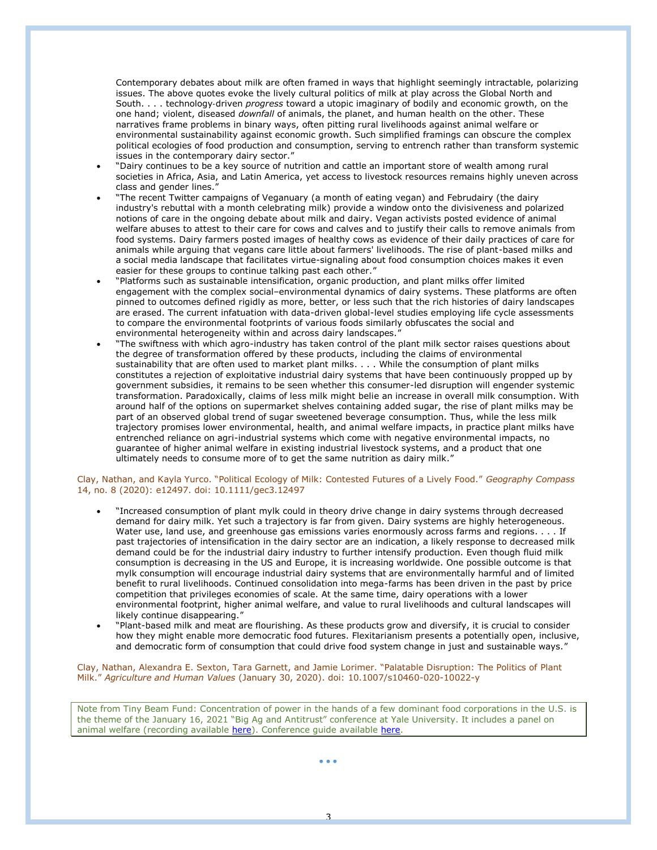Contemporary debates about milk are often framed in ways that highlight seemingly intractable, polarizing issues. The above quotes evoke the lively cultural politics of milk at play across the Global North and South. . . . technology‐driven *progress* toward a utopic imaginary of bodily and economic growth, on the one hand; violent, diseased *downfall* of animals, the planet, and human health on the other. These narratives frame problems in binary ways, often pitting rural livelihoods against animal welfare or environmental sustainability against economic growth. Such simplified framings can obscure the complex political ecologies of food production and consumption, serving to entrench rather than transform systemic issues in the contemporary dairy sector."

- "Dairy continues to be a key source of nutrition and cattle an important store of wealth among rural societies in Africa, Asia, and Latin America, yet access to livestock resources remains highly uneven across class and gender lines."
- "The recent Twitter campaigns of Veganuary (a month of eating vegan) and Februdairy (the dairy industry's rebuttal with a month celebrating milk) provide a window onto the divisiveness and polarized notions of care in the ongoing debate about milk and dairy. Vegan activists posted evidence of animal welfare abuses to attest to their care for cows and calves and to justify their calls to remove animals from food systems. Dairy farmers posted images of healthy cows as evidence of their daily practices of care for animals while arguing that vegans care little about farmers' livelihoods. The rise of plant-based milks and a social media landscape that facilitates virtue-signaling about food consumption choices makes it even easier for these groups to continue talking past each other."
- "Platforms such as sustainable intensification, organic production, and plant milks offer limited engagement with the complex social–environmental dynamics of dairy systems. These platforms are often pinned to outcomes defined rigidly as more, better, or less such that the rich histories of dairy landscapes are erased. The current infatuation with data-driven global-level studies employing life cycle assessments to compare the environmental footprints of various foods similarly obfuscates the social and environmental heterogeneity within and across dairy landscapes.
- "The swiftness with which agro-industry has taken control of the plant milk sector raises questions about the degree of transformation offered by these products, including the claims of environmental sustainability that are often used to market plant milks. . . . While the consumption of plant milks constitutes a rejection of exploitative industrial dairy systems that have been continuously propped up by government subsidies, it remains to be seen whether this consumer-led disruption will engender systemic transformation. Paradoxically, claims of less milk might belie an increase in overall milk consumption. With around half of the options on supermarket shelves containing added sugar, the rise of plant milks may be part of an observed global trend of sugar sweetened beverage consumption. Thus, while the less milk trajectory promises lower environmental, health, and animal welfare impacts, in practice plant milks have entrenched reliance on agri-industrial systems which come with negative environmental impacts, no guarantee of higher animal welfare in existing industrial livestock systems, and a product that one ultimately needs to consume more of to get the same nutrition as dairy milk."

#### Clay, Nathan, and Kayla Yurco. "Political Ecology of Milk: Contested Futures of a Lively Food." *Geography Compass* 14, no. 8 (2020): e12497. doi: 10.1111/gec3.12497

- "Increased consumption of plant mylk could in theory drive change in dairy systems through decreased demand for dairy milk. Yet such a trajectory is far from given. Dairy systems are highly heterogeneous. Water use, land use, and greenhouse gas emissions varies enormously across farms and regions. . . . If past trajectories of intensification in the dairy sector are an indication, a likely response to decreased milk demand could be for the industrial dairy industry to further intensify production. Even though fluid milk consumption is decreasing in the US and Europe, it is increasing worldwide. One possible outcome is that mylk consumption will encourage industrial dairy systems that are environmentally harmful and of limited benefit to rural livelihoods. Continued consolidation into mega-farms has been driven in the past by price competition that privileges economies of scale. At the same time, dairy operations with a lower environmental footprint, higher animal welfare, and value to rural livelihoods and cultural landscapes will likely continue disappearing."
- "Plant-based milk and meat are flourishing. As these products grow and diversify, it is crucial to consider how they might enable more democratic food futures. Flexitarianism presents a potentially open, inclusive, and democratic form of consumption that could drive food system change in just and sustainable ways."

#### Clay, Nathan, Alexandra E. Sexton, Tara Garnett, and Jamie Lorimer. "Palatable Disruption: The Politics of Plant Milk." *Agriculture and Human Values* (January 30, 2020). doi: 10.1007/s10460-020-10022-y

Note from Tiny Beam Fund: Concentration of power in the hands of a few dominant food corporations in the U.S. is the theme of the January 16, 2021 "Big Ag and Antitrust" conference at Yale University. It includes a panel on animal welfare (recording available [here\)](https://www.youtube.com/watch?v=AWgvTIcGjqg&list=PLVPIycvkyLV9nUlTBM4VkKeKq-_guVHQb&index=5&t=878s). Conference guide available [here.](https://law.yale.edu/sites/default/files/area/center/leap/document/yale-big-ag-and-antitrust-conference-guide.pdf)

3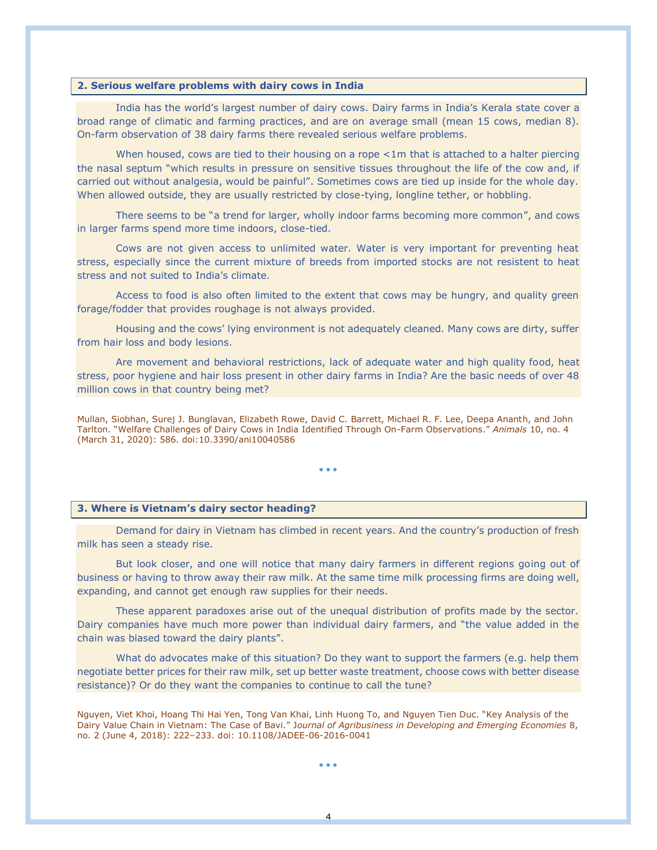# **2. Serious welfare problems with dairy cows in India**

India has the world's largest number of dairy cows. Dairy farms in India's Kerala state cover a broad range of climatic and farming practices, and are on average small (mean 15 cows, median 8). On-farm observation of 38 dairy farms there revealed serious welfare problems.

When housed, cows are tied to their housing on a rope <1m that is attached to a halter piercing the nasal septum "which results in pressure on sensitive tissues throughout the life of the cow and, if carried out without analgesia, would be painful". Sometimes cows are tied up inside for the whole day. When allowed outside, they are usually restricted by close-tying, longline tether, or hobbling.

There seems to be "a trend for larger, wholly indoor farms becoming more common", and cows in larger farms spend more time indoors, close-tied.

Cows are not given access to unlimited water. Water is very important for preventing heat stress, especially since the current mixture of breeds from imported stocks are not resistent to heat stress and not suited to India's climate.

Access to food is also often limited to the extent that cows may be hungry, and quality green forage/fodder that provides roughage is not always provided.

Housing and the cows' lying environment is not adequately cleaned. Many cows are dirty, suffer from hair loss and body lesions.

Are movement and behavioral restrictions, lack of adequate water and high quality food, heat stress, poor hygiene and hair loss present in other dairy farms in India? Are the basic needs of over 48 million cows in that country being met?

Mullan, Siobhan, Surej J. Bunglavan, Elizabeth Rowe, David C. Barrett, Michael R. F. Lee, Deepa Ananth, and John Tarlton. "Welfare Challenges of Dairy Cows in India Identified Through On-Farm Observations." *Animals* 10, no. 4 (March 31, 2020): 586. doi:10.3390/ani10040586

• • •

## **3. Where is Vietnam's dairy sector heading?**

Demand for dairy in Vietnam has climbed in recent years. And the country's production of fresh milk has seen a steady rise.

But look closer, and one will notice that many dairy farmers in different regions going out of business or having to throw away their raw milk. At the same time milk processing firms are doing well, expanding, and cannot get enough raw supplies for their needs.

These apparent paradoxes arise out of the unequal distribution of profits made by the sector. Dairy companies have much more power than individual dairy farmers, and "the value added in the chain was biased toward the dairy plants".

What do advocates make of this situation? Do they want to support the farmers (e.g. help them negotiate better prices for their raw milk, set up better waste treatment, choose cows with better disease resistance)? Or do they want the companies to continue to call the tune?

Nguyen, Viet Khoi, Hoang Thi Hai Yen, Tong Van Khai, Linh Huong To, and Nguyen Tien Duc. "Key Analysis of the Dairy Value Chain in Vietnam: The Case of Bavi." J*ournal of Agribusiness in Developing and Emerging Economies* 8, no. 2 (June 4, 2018): 222–233. doi: 10.1108/JADEE-06-2016-0041

• • •

4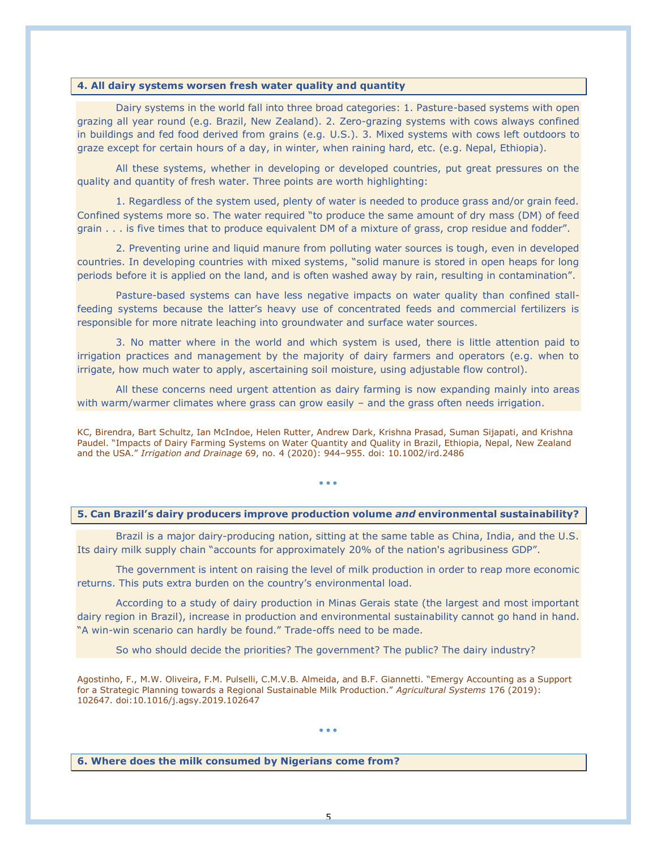# **4. All dairy systems worsen fresh water quality and quantity**

Dairy systems in the world fall into three broad categories: 1. Pasture-based systems with open grazing all year round (e.g. Brazil, New Zealand). 2. Zero-grazing systems with cows always confined in buildings and fed food derived from grains (e.g. U.S.). 3. Mixed systems with cows left outdoors to graze except for certain hours of a day, in winter, when raining hard, etc. (e.g. Nepal, Ethiopia).

All these systems, whether in developing or developed countries, put great pressures on the quality and quantity of fresh water. Three points are worth highlighting:

1. Regardless of the system used, plenty of water is needed to produce grass and/or grain feed. Confined systems more so. The water required "to produce the same amount of dry mass (DM) of feed grain . . . is five times that to produce equivalent DM of a mixture of grass, crop residue and fodder".

2. Preventing urine and liquid manure from polluting water sources is tough, even in developed countries. In developing countries with mixed systems, "solid manure is stored in open heaps for long periods before it is applied on the land, and is often washed away by rain, resulting in contamination".

Pasture-based systems can have less negative impacts on water quality than confined stallfeeding systems because the latter's heavy use of concentrated feeds and commercial fertilizers is responsible for more nitrate leaching into groundwater and surface water sources.

3. No matter where in the world and which system is used, there is little attention paid to irrigation practices and management by the majority of dairy farmers and operators (e.g. when to irrigate, how much water to apply, ascertaining soil moisture, using adjustable flow control).

All these concerns need urgent attention as dairy farming is now expanding mainly into areas with warm/warmer climates where grass can grow easily – and the grass often needs irrigation.

KC, Birendra, Bart Schultz, Ian McIndoe, Helen Rutter, Andrew Dark, Krishna Prasad, Suman Sijapati, and Krishna Paudel. "Impacts of Dairy Farming Systems on Water Quantity and Quality in Brazil, Ethiopia, Nepal, New Zealand and the USA." *Irrigation and Drainage* 69, no. 4 (2020): 944–955. doi: 10.1002/ird.2486

• • •

# **5. Can Brazil's dairy producers improve production volume** *and* **environmental sustainability?**

Brazil is a major dairy-producing nation, sitting at the same table as China, India, and the U.S. Its dairy milk supply chain "accounts for approximately 20% of the nation's agribusiness GDP".

The government is intent on raising the level of milk production in order to reap more economic returns. This puts extra burden on the country's environmental load.

According to a study of dairy production in Minas Gerais state (the largest and most important dairy region in Brazil), increase in production and environmental sustainability cannot go hand in hand. "A win-win scenario can hardly be found." Trade-offs need to be made.

So who should decide the priorities? The government? The public? The dairy industry?

Agostinho, F., M.W. Oliveira, F.M. Pulselli, C.M.V.B. Almeida, and B.F. Giannetti. "Emergy Accounting as a Support for a Strategic Planning towards a Regional Sustainable Milk Production." *Agricultural Systems* 176 (2019): 102647. doi:10.1016/j.agsy.2019.102647

#### • • •

**6. Where does the milk consumed by Nigerians come from?**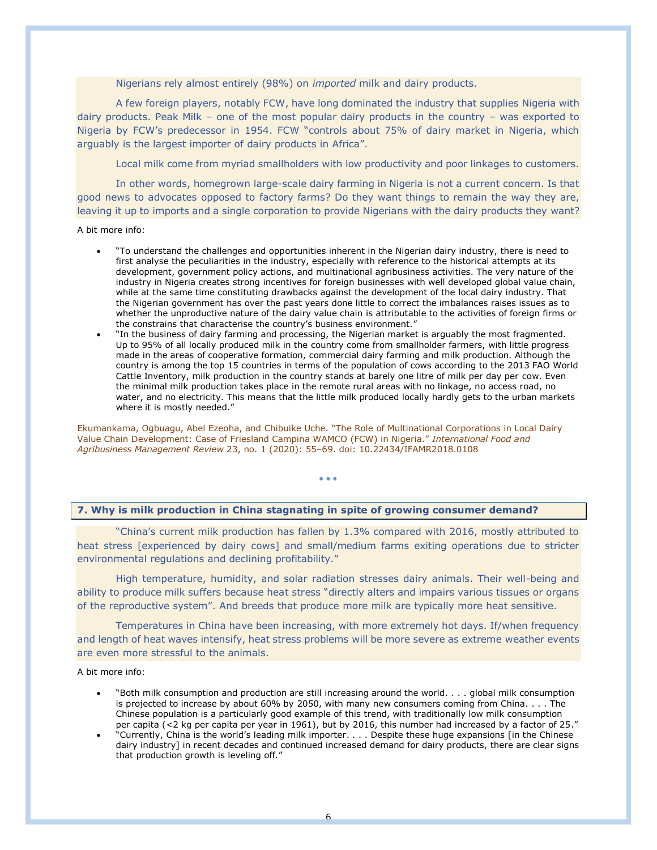Nigerians rely almost entirely (98%) on *imported* milk and dairy products.

A few foreign players, notably FCW, have long dominated the industry that supplies Nigeria with dairy products. Peak Milk – one of the most popular dairy products in the country – was exported to Nigeria by FCW's predecessor in 1954. FCW "controls about 75% of dairy market in Nigeria, which arguably is the largest importer of dairy products in Africa".

Local milk come from myriad smallholders with low productivity and poor linkages to customers.

In other words, homegrown large-scale dairy farming in Nigeria is not a current concern. Is that good news to advocates opposed to factory farms? Do they want things to remain the way they are, leaving it up to imports and a single corporation to provide Nigerians with the dairy products they want?

A bit more info:

- "To understand the challenges and opportunities inherent in the Nigerian dairy industry, there is need to first analyse the peculiarities in the industry, especially with reference to the historical attempts at its development, government policy actions, and multinational agribusiness activities. The very nature of the industry in Nigeria creates strong incentives for foreign businesses with well developed global value chain, while at the same time constituting drawbacks against the development of the local dairy industry. That the Nigerian government has over the past years done little to correct the imbalances raises issues as to whether the unproductive nature of the dairy value chain is attributable to the activities of foreign firms or the constrains that characterise the country's business environment."
- "In the business of dairy farming and processing, the Nigerian market is arguably the most fragmented. Up to 95% of all locally produced milk in the country come from smallholder farmers, with little progress made in the areas of cooperative formation, commercial dairy farming and milk production. Although the country is among the top 15 countries in terms of the population of cows according to the 2013 FAO World Cattle Inventory, milk production in the country stands at barely one litre of milk per day per cow. Even the minimal milk production takes place in the remote rural areas with no linkage, no access road, no water, and no electricity. This means that the little milk produced locally hardly gets to the urban markets where it is mostly needed."

Ekumankama, Ogbuagu, Abel Ezeoha, and Chibuike Uche. "The Role of Multinational Corporations in Local Dairy Value Chain Development: Case of Friesland Campina WAMCO (FCW) in Nigeria." *International Food and Agribusiness Management Review* 23, no. 1 (2020): 55–69. doi: 10.22434/IFAMR2018.0108

• • •

## **7. Why is milk production in China stagnating in spite of growing consumer demand?**

"China's current milk production has fallen by 1.3% compared with 2016, mostly attributed to heat stress [experienced by dairy cows] and small/medium farms exiting operations due to stricter environmental regulations and declining profitability."

High temperature, humidity, and solar radiation stresses dairy animals. Their well-being and ability to produce milk suffers because heat stress "directly alters and impairs various tissues or organs of the reproductive system". And breeds that produce more milk are typically more heat sensitive.

Temperatures in China have been increasing, with more extremely hot days. If/when frequency and length of heat waves intensify, heat stress problems will be more severe as extreme weather events are even more stressful to the animals.

A bit more info:

- "Both milk consumption and production are still increasing around the world. . . . global milk consumption is projected to increase by about 60% by 2050, with many new consumers coming from China. . . . The Chinese population is a particularly good example of this trend, with traditionally low milk consumption per capita (<2 kg per capita per year in 1961), but by 2016, this number had increased by a factor of 25."
- "Currently, China is the world's leading milk importer. . . . Despite these huge expansions [in the Chinese dairy industry] in recent decades and continued increased demand for dairy products, there are clear signs that production growth is leveling off."